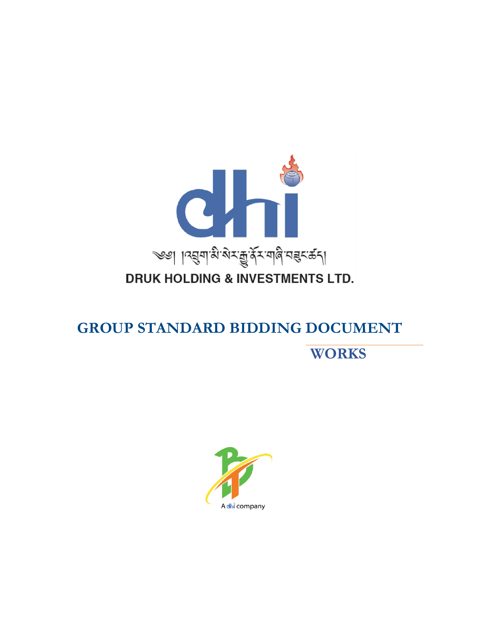

## **DRUK HOLDING & INVESTMENTS LTD.**

# **GROUP STANDARD BIDDING DOCUMENT WORKS**

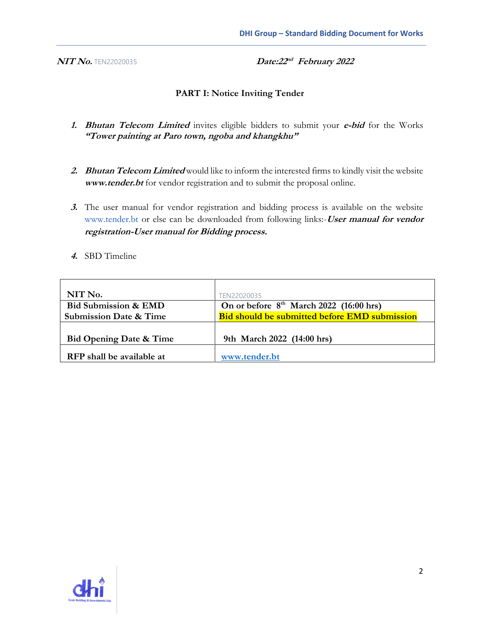**NIT No. TEN22020035** 

Date:22<sup>nd</sup> February 2022

#### **PART I: Notice Inviting Tender**

- **1. Bhutan Telecom Limited** invites eligible bidders to submit your **e-bid** for the Works **"Tower painting at Paro town, ngoba and khangkhu"**
- **2. Bhutan Telecom Limited** would like to inform the interested firms to kindly visit the website **www.tender.bt** for vendor registration and to submit the proposal online.
- **3.** The user manual for vendor registration and bidding process is available on the website www.tender.bt or else can be downloaded from following links:-**User manual for vendor registration-User manual for Bidding process.**
- **4.** SBD Timeline

| NIT No.                            | TFN22020035                                          |
|------------------------------------|------------------------------------------------------|
| <b>Bid Submission &amp; EMD</b>    | On or before $8th$ March 2022 (16:00 hrs)            |
| <b>Submission Date &amp; Time</b>  | <b>Bid should be submitted before EMD submission</b> |
|                                    |                                                      |
| <b>Bid Opening Date &amp; Time</b> | 9th March 2022 (14:00 hrs)                           |
|                                    |                                                      |
| RFP shall be available at          | www.tender.bt                                        |

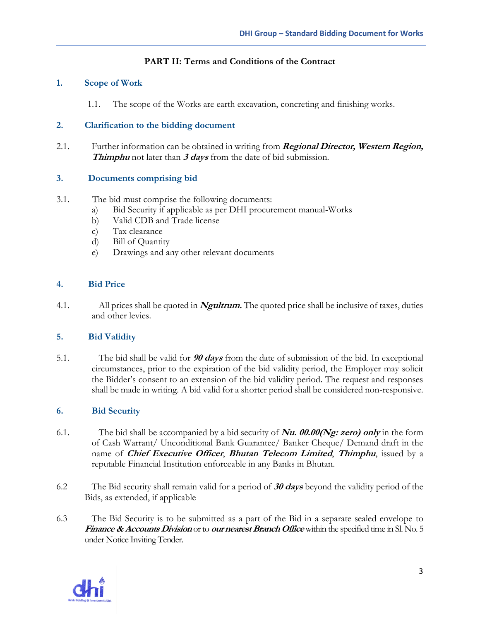#### **PART II: Terms and Conditions of the Contract**

#### **1. Scope of Work**

1.1. The scope of the Works are earth excavation, concreting and finishing works.

#### **2. Clarification to the bidding document**

2.1. Further information can be obtained in writing from **Regional Director, Western Region, Thimphu** not later than **3 days** from the date of bid submission*.*

#### **3. Documents comprising bid**

- 3.1. The bid must comprise the following documents:
	- a) Bid Security if applicable as per DHI procurement manual-Works
	- b) Valid CDB and Trade license
	- c) Tax clearance
	- d) Bill of Quantity
	- e) Drawings and any other relevant documents

#### **4. Bid Price**

4.1. All prices shall be quoted in **Ngultrum.** The quoted price shall be inclusive of taxes, duties and other levies.

#### **5. Bid Validity**

5.1. The bid shall be valid for **90 days** from the date of submission of the bid. In exceptional circumstances, prior to the expiration of the bid validity period, the Employer may solicit the Bidder's consent to an extension of the bid validity period. The request and responses shall be made in writing. A bid valid for a shorter period shall be considered non-responsive.

#### **6. Bid Security**

- 6.1. The bid shall be accompanied by a bid security of **Nu. 00.00(Ng: zero) only** in the form of Cash Warrant/ Unconditional Bank Guarantee/ Banker Cheque/ Demand draft in the name of **Chief Executive Officer**, **Bhutan Telecom Limited**, **Thimphu**, issued by a reputable Financial Institution enforceable in any Banks in Bhutan.
- 6.2 The Bid security shall remain valid for a period of **30 days** beyond the validity period of the Bids, as extended, if applicable
- 6.3 The Bid Security is to be submitted as a part of the Bid in a separate sealed envelope to **Finance & Accounts Division** or to **our nearest Branch Office**within the specified time in Sl. No. 5 under Notice Inviting Tender.

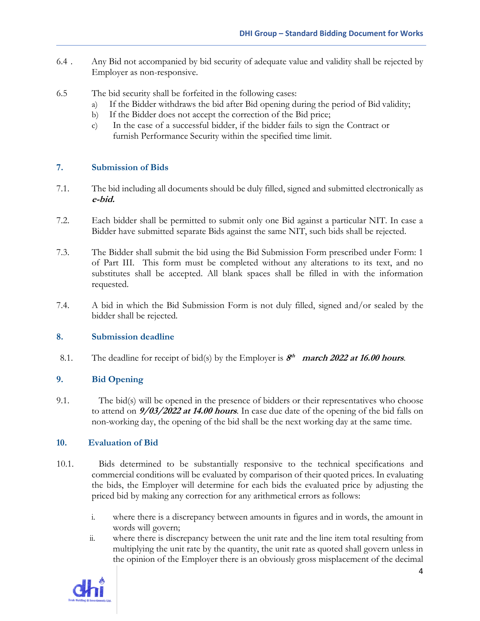- 6.4 . Any Bid not accompanied by bid security of adequate value and validity shall be rejected by Employer as non-responsive.
- 6.5 The bid security shall be forfeited in the following cases:
	- a) If the Bidder withdraws the bid after Bid opening during the period of Bid validity;
	- b) If the Bidder does not accept the correction of the Bid price;
	- c) In the case of a successful bidder, if the bidder fails to sign the Contract or furnish Performance Security within the specified time limit.

#### **7. Submission of Bids**

- 7.1. The bid including all documents should be duly filled, signed and submitted electronically as **e-bid.**
- 7.2. Each bidder shall be permitted to submit only one Bid against a particular NIT. In case a Bidder have submitted separate Bids against the same NIT, such bids shall be rejected.
- 7.3. The Bidder shall submit the bid using the Bid Submission Form prescribed under Form: 1 of Part III. This form must be completed without any alterations to its text, and no substitutes shall be accepted. All blank spaces shall be filled in with the information requested.
- 7.4. A bid in which the Bid Submission Form is not duly filled, signed and/or sealed by the bidder shall be rejected.

#### **8. Submission deadline**

8.1. The deadline for receipt of bid(s) by the Employer is  $S<sup>th</sup>$  **march** 2022 at 16.00 hours.

#### **9. Bid Opening**

9.1. The bid(s) will be opened in the presence of bidders or their representatives who choose to attend on **9/03/2022 at 14.00 hours**. In case due date of the opening of the bid falls on non-working day, the opening of the bid shall be the next working day at the same time.

#### **10. Evaluation of Bid**

- 10.1. Bids determined to be substantially responsive to the technical specifications and commercial conditions will be evaluated by comparison of their quoted prices. In evaluating the bids, the Employer will determine for each bids the evaluated price by adjusting the priced bid by making any correction for any arithmetical errors as follows:
	- i. where there is a discrepancy between amounts in figures and in words, the amount in words will govern;
	- ii. where there is discrepancy between the unit rate and the line item total resulting from multiplying the unit rate by the quantity, the unit rate as quoted shall govern unless in the opinion of the Employer there is an obviously gross misplacement of the decimal

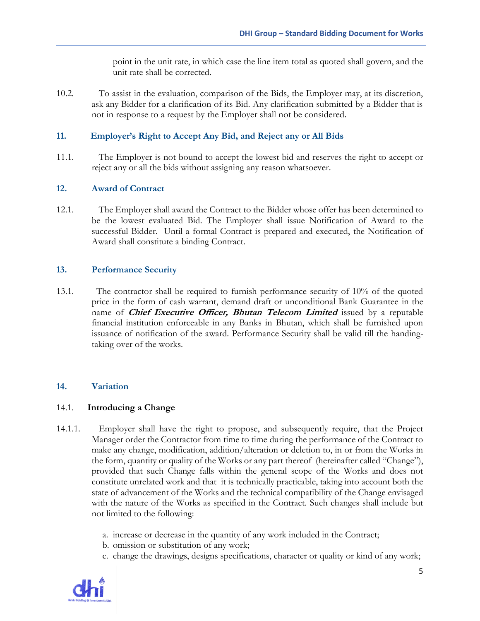point in the unit rate, in which case the line item total as quoted shall govern, and the unit rate shall be corrected.

10.2. To assist in the evaluation, comparison of the Bids, the Employer may, at its discretion, ask any Bidder for a clarification of its Bid. Any clarification submitted by a Bidder that is not in response to a request by the Employer shall not be considered.

#### **11. Employer's Right to Accept Any Bid, and Reject any or All Bids**

11.1. The Employer is not bound to accept the lowest bid and reserves the right to accept or reject any or all the bids without assigning any reason whatsoever.

#### **12. Award of Contract**

12.1. The Employer shall award the Contract to the Bidder whose offer has been determined to be the lowest evaluated Bid. The Employer shall issue Notification of Award to the successful Bidder. Until a formal Contract is prepared and executed, the Notification of Award shall constitute a binding Contract.

#### **13. Performance Security**

13.1. The contractor shall be required to furnish performance security of 10% of the quoted price in the form of cash warrant, demand draft or unconditional Bank Guarantee in the name of **Chief Executive Officer, Bhutan Telecom Limited** issued by a reputable financial institution enforceable in any Banks in Bhutan, which shall be furnished upon issuance of notification of the award. Performance Security shall be valid till the handingtaking over of the works.

#### **14. Variation**

#### 14.1. **Introducing a Change**

- 14.1.1. Employer shall have the right to propose, and subsequently require, that the Project Manager order the Contractor from time to time during the performance of the Contract to make any change, modification, addition/alteration or deletion to, in or from the Works in the form, quantity or quality of the Works or any part thereof (hereinafter called "Change"), provided that such Change falls within the general scope of the Works and does not constitute unrelated work and that it is technically practicable, taking into account both the state of advancement of the Works and the technical compatibility of the Change envisaged with the nature of the Works as specified in the Contract. Such changes shall include but not limited to the following:
	- a. increase or decrease in the quantity of any work included in the Contract;
	- b. omission or substitution of any work;
	- c. change the drawings, designs specifications, character or quality or kind of any work;

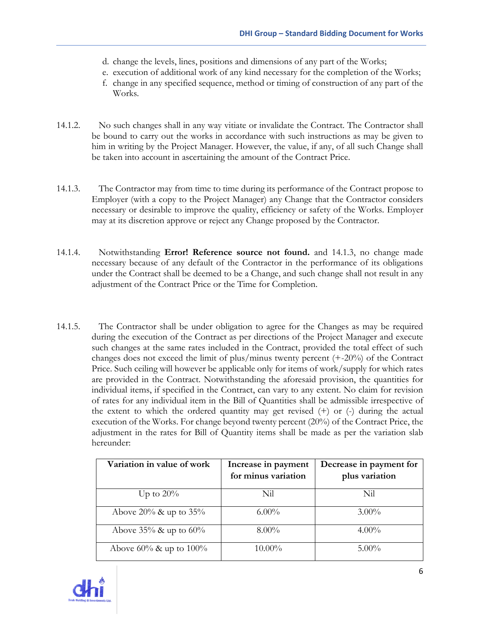- d. change the levels, lines, positions and dimensions of any part of the Works;
- e. execution of additional work of any kind necessary for the completion of the Works;
- f. change in any specified sequence, method or timing of construction of any part of the Works.
- 14.1.2. No such changes shall in any way vitiate or invalidate the Contract. The Contractor shall be bound to carry out the works in accordance with such instructions as may be given to him in writing by the Project Manager. However, the value, if any, of all such Change shall be taken into account in ascertaining the amount of the Contract Price.
- <span id="page-5-0"></span>14.1.3. The Contractor may from time to time during its performance of the Contract propose to Employer (with a copy to the Project Manager) any Change that the Contractor considers necessary or desirable to improve the quality, efficiency or safety of the Works. Employer may at its discretion approve or reject any Change proposed by the Contractor.
- 14.1.4. Notwithstanding **Error! Reference source not found.** and [14.1.3,](#page-5-0) no change made necessary because of any default of the Contractor in the performance of its obligations under the Contract shall be deemed to be a Change, and such change shall not result in any adjustment of the Contract Price or the Time for Completion.
- 14.1.5. The Contractor shall be under obligation to agree for the Changes as may be required during the execution of the Contract as per directions of the Project Manager and execute such changes at the same rates included in the Contract, provided the total effect of such changes does not exceed the limit of plus/minus twenty percent (+-20%) of the Contract Price. Such ceiling will however be applicable only for items of work/supply for which rates are provided in the Contract. Notwithstanding the aforesaid provision, the quantities for individual items, if specified in the Contract, can vary to any extent. No claim for revision of rates for any individual item in the Bill of Quantities shall be admissible irrespective of the extent to which the ordered quantity may get revised (+) or (-) during the actual execution of the Works. For change beyond twenty percent (20%) of the Contract Price, the adjustment in the rates for Bill of Quantity items shall be made as per the variation slab hereunder:

| Variation in value of work   | Increase in payment<br>for minus variation | Decrease in payment for<br>plus variation |
|------------------------------|--------------------------------------------|-------------------------------------------|
| Up to $20\%$                 | Nil                                        | Nil                                       |
| Above $20\%$ & up to $35\%$  | $6.00\%$                                   | $3.00\%$                                  |
| Above $35\%$ & up to $60\%$  | $8.00\%$                                   | $4.00\%$                                  |
| Above $60\%$ & up to $100\%$ | $10.00\%$                                  | $5.00\%$                                  |

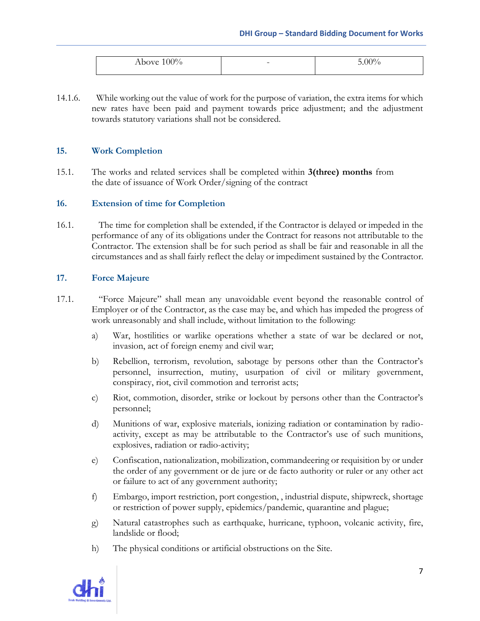| $\sim$ $\sim$<br>$\sim$ T T C<br>м<br>70<br>ADO<br>vv<br>. v | $\overline{\phantom{0}}$ | ഹര<br>и<br>′ Ο |
|--------------------------------------------------------------|--------------------------|----------------|

14.1.6. While working out the value of work for the purpose of variation, the extra items for which new rates have been paid and payment towards price adjustment; and the adjustment towards statutory variations shall not be considered.

#### **15. Work Completion**

15.1. The works and related services shall be completed within **3(three) months** from the date of issuance of Work Order/signing of the contract

#### **16. Extension of time for Completion**

16.1. The time for completion shall be extended, if the Contractor is delayed or impeded in the performance of any of its obligations under the Contract for reasons not attributable to the Contractor. The extension shall be for such period as shall be fair and reasonable in all the circumstances and as shall fairly reflect the delay or impediment sustained by the Contractor.

#### **17. Force Majeure**

- 17.1. "Force Majeure" shall mean any unavoidable event beyond the reasonable control of Employer or of the Contractor, as the case may be, and which has impeded the progress of work unreasonably and shall include, without limitation to the following:
	- a) War, hostilities or warlike operations whether a state of war be declared or not, invasion, act of foreign enemy and civil war;
	- b) Rebellion, terrorism, revolution, sabotage by persons other than the Contractor's personnel, insurrection, mutiny, usurpation of civil or military government, conspiracy, riot, civil commotion and terrorist acts;
	- c) Riot, commotion, disorder, strike or lockout by persons other than the Contractor's personnel;
	- d) Munitions of war, explosive materials, ionizing radiation or contamination by radioactivity, except as may be attributable to the Contractor's use of such munitions, explosives, radiation or radio-activity;
	- e) Confiscation, nationalization, mobilization, commandeering or requisition by or under the order of any government or de jure or de facto authority or ruler or any other act or failure to act of any government authority;
	- f) Embargo, import restriction, port congestion, , industrial dispute, shipwreck, shortage or restriction of power supply, epidemics/pandemic, quarantine and plague;
	- g) Natural catastrophes such as earthquake, hurricane, typhoon, volcanic activity, fire, landslide or flood;
	- h) The physical conditions or artificial obstructions on the Site.

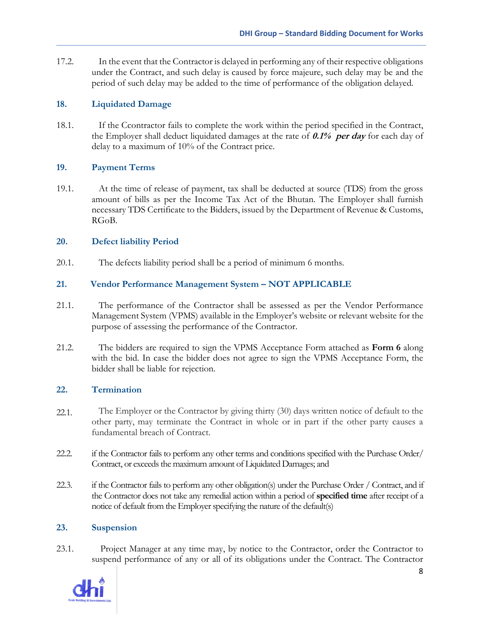17.2. In the event that the Contractor is delayed in performing any of their respective obligations under the Contract, and such delay is caused by force majeure, such delay may be and the period of such delay may be added to the time of performance of the obligation delayed.

#### **18. Liquidated Damage**

18.1. If the Ccontractor fails to complete the work within the period specified in the Contract, the Employer shall deduct liquidated damages at the rate of **0.1% per day** for each day of delay to a maximum of 10% of the Contract price.

#### **19. Payment Terms**

19.1. At the time of release of payment, tax shall be deducted at source (TDS) from the gross amount of bills as per the Income Tax Act of the Bhutan. The Employer shall furnish necessary TDS Certificate to the Bidders, issued by the Department of Revenue & Customs, RGoB.

#### **20. Defect liability Period**

20.1. The defects liability period shall be a period of minimum 6 months.

#### **21. Vendor Performance Management System – NOT APPLICABLE**

- 21.1. The performance of the Contractor shall be assessed as per the Vendor Performance Management System (VPMS) available in the Employer's website or relevant website for the purpose of assessing the performance of the Contractor.
- 21.2. The bidders are required to sign the VPMS Acceptance Form attached as **Form 6** along with the bid. In case the bidder does not agree to sign the VPMS Acceptance Form, the bidder shall be liable for rejection.

#### **22. Termination**

- 22.1. The Employer or the Contractor by giving thirty (30) days written notice of default to the other party, may terminate the Contract in whole or in part if the other party causes a fundamental breach of Contract.
- 22.2. if the Contractor fails to perform any other terms and conditions specified with the Purchase Order/ Contract, or exceeds the maximum amount of Liquidated Damages; and
- 22.3. if the Contractor fails to perform any other obligation(s) under the Purchase Order / Contract, and if the Contractor does not take any remedial action within a period of **specified time** after receipt of a notice of default from the Employer specifying the nature of the default(s)

#### **23. Suspension**

23.1. Project Manager at any time may, by notice to the Contractor, order the Contractor to suspend performance of any or all of its obligations under the Contract. The Contractor

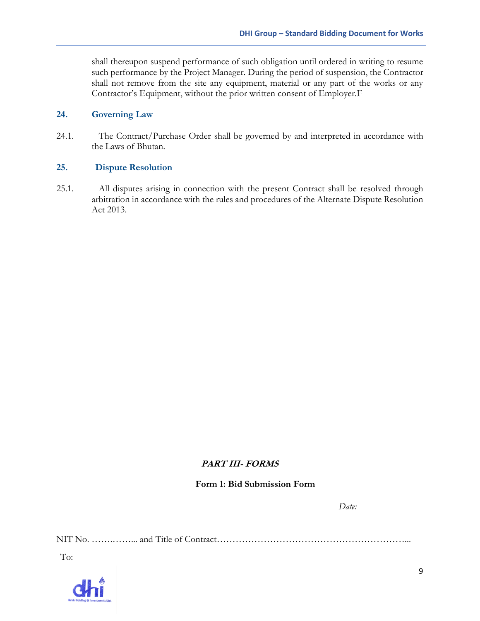shall thereupon suspend performance of such obligation until ordered in writing to resume such performance by the Project Manager. During the period of suspension, the Contractor shall not remove from the site any equipment, material or any part of the works or any Contractor's Equipment, without the prior written consent of Employer.F

#### **24. Governing Law**

24.1. The Contract/Purchase Order shall be governed by and interpreted in accordance with the Laws of Bhutan.

#### **25. Dispute Resolution**

25.1. All disputes arising in connection with the present Contract shall be resolved through arbitration in accordance with the rules and procedures of the Alternate Dispute Resolution Act 2013.

#### **PART III- FORMS**

#### **Form 1: Bid Submission Form**

*Date:*

NIT No. …….……... and Title of Contract……………………………………………………...

To:

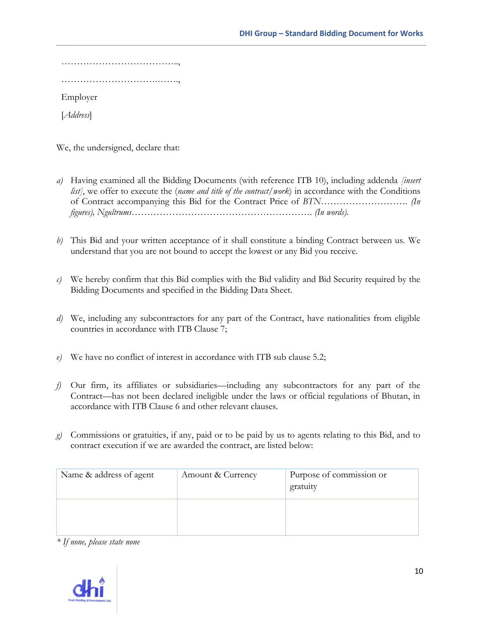…………………………………………… ………………………….……., Employer

[*Address*]

We, the undersigned, declare that:

- *a)* Having examined all the Bidding Documents (with reference ITB 10), including addenda *[insert list]*, we offer to execute the (*name and title of the contract/work*) in accordance with the Conditions of Contract accompanying this Bid for the Contract Price of *BTN………………………. (In figures), Ngultrums…………………………………………………. (In words).*
- *b)* This Bid and your written acceptance of it shall constitute a binding Contract between us. We understand that you are not bound to accept the lowest or any Bid you receive.
- *c)* We hereby confirm that this Bid complies with the Bid validity and Bid Security required by the Bidding Documents and specified in the Bidding Data Sheet.
- *d*) We, including any subcontractors for any part of the Contract, have nationalities from eligible countries in accordance with ITB Clause 7;
- *e)* We have no conflict of interest in accordance with ITB sub clause 5.2;
- *f)* Our firm, its affiliates or subsidiaries—including any subcontractors for any part of the Contract—has not been declared ineligible under the laws or official regulations of Bhutan, in accordance with ITB Clause 6 and other relevant clauses.
- *g)* Commissions or gratuities, if any, paid or to be paid by us to agents relating to this Bid, and to contract execution if we are awarded the contract, are listed below:

| Name & address of agent | Amount & Currency | Purpose of commission or<br>gratuity |
|-------------------------|-------------------|--------------------------------------|
|                         |                   |                                      |

*\* If none, please state none*

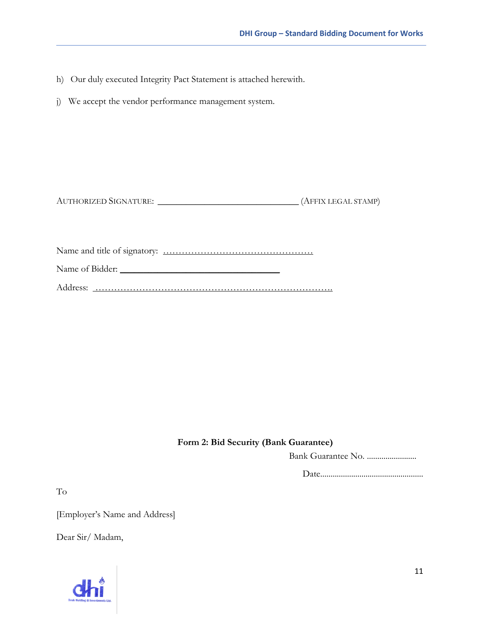- h) Our duly executed Integrity Pact Statement is attached herewith.
- j) We accept the vendor performance management system.

Name and title of signatory: …………………………………………

Name of Bidder: \_\_\_\_\_\_\_\_\_\_\_\_\_\_\_\_\_\_\_\_\_\_\_\_\_\_\_\_\_\_\_\_\_\_

Address: ………………………………………………………………….

#### **Form 2: Bid Security (Bank Guarantee)**

Bank Guarantee No. ........................

Date..................................................

To

[Employer's Name and Address]

Dear Sir/ Madam,

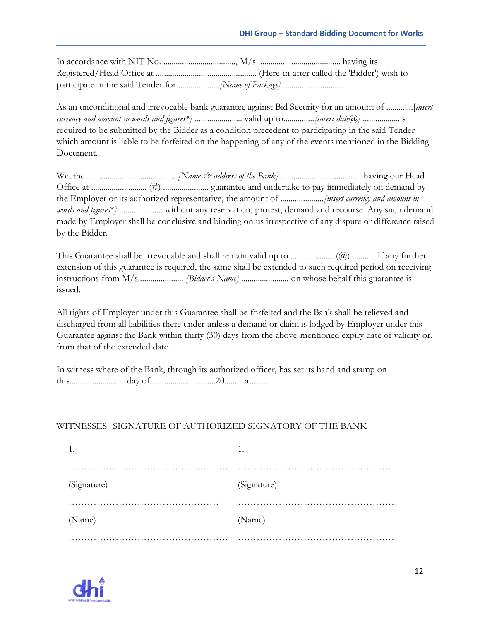As an unconditional and irrevocable bank guarantee against Bid Security for an amount of .............[*insert currency and amount in words and figures\*]* ....................... valid up to...............*[insert date@]* ..................is required to be submitted by the Bidder as a condition precedent to participating in the said Tender which amount is liable to be forfeited on the happening of any of the events mentioned in the Bidding Document.

We, the ........................................... *[Name & address of the Bank]* ....................................... having our Head Office at ........................... (#) ...................... guarantee and undertake to pay immediately on demand by the Employer or its authorized representative, the amount of .....................*[insert currency and amount in words and figures*\**]* ..................... without any reservation, protest, demand and recourse. Any such demand made by Employer shall be conclusive and binding on us irrespective of any dispute or difference raised by the Bidder.

This Guarantee shall be irrevocable and shall remain valid up to  $\ldots$  $\ldots$  $\ldots$  $\ldots$  $\ldots$  $\ldots$ . If any further extension of this guarantee is required, the same shall be extended to such required period on receiving instructions from M/s...................... *[Bidder's Name]* ....................... on whose behalf this guarantee is issued.

All rights of Employer under this Guarantee shall be forfeited and the Bank shall be relieved and discharged from all liabilities there under unless a demand or claim is lodged by Employer under this Guarantee against the Bank within thirty (30) days from the above-mentioned expiry date of validity or, from that of the extended date.

In witness where of the Bank, through its authorized officer, has set its hand and stamp on this............................day of................................20..........at.........

#### WITNESSES: SIGNATURE OF AUTHORIZED SIGNATORY OF THE BANK

| -1.         | 1.          |
|-------------|-------------|
|             | .           |
| (Signature) | (Signature) |
|             |             |
| (Name)      | (Name)      |
|             |             |

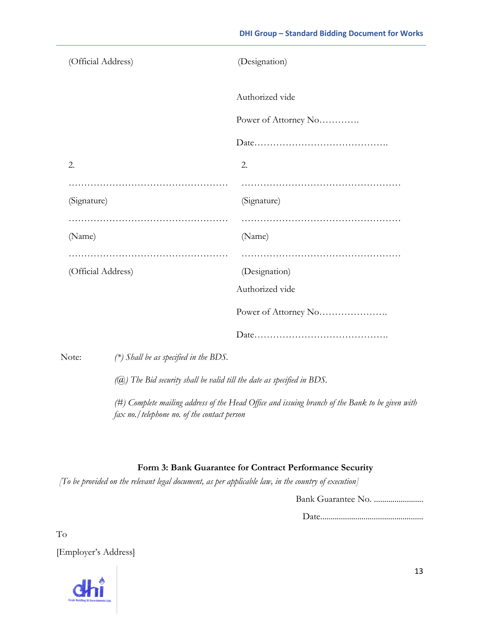| (Official Address) |                                                                          | (Designation)                                                                                   |
|--------------------|--------------------------------------------------------------------------|-------------------------------------------------------------------------------------------------|
|                    |                                                                          | Authorized vide                                                                                 |
|                    |                                                                          | Power of Attorney No                                                                            |
|                    |                                                                          |                                                                                                 |
| 2.                 |                                                                          | 2.                                                                                              |
| (Signature)        |                                                                          | (Signature)                                                                                     |
| (Name)             |                                                                          | (Name)                                                                                          |
| (Official Address) |                                                                          | (Designation)                                                                                   |
|                    |                                                                          | Authorized vide                                                                                 |
|                    |                                                                          | Power of Attorney No                                                                            |
|                    |                                                                          |                                                                                                 |
| Note:              | $(*)$ Shall be as specified in the BDS.                                  |                                                                                                 |
|                    | $(Q)$ The Bid security shall be valid till the date as specified in BDS. |                                                                                                 |
|                    |                                                                          | (#) Complete mailing address of the Head Office and issuing branch of the Bank to be given with |

### **Form 3: Bank Guarantee for Contract Performance Security**

*[To be provided on the relevant legal document, as per applicable law, in the country of execution]*

*fax no./telephone no. of the contact person*

Bank Guarantee No. ........................

Date..................................................

To

[Employer's Address]

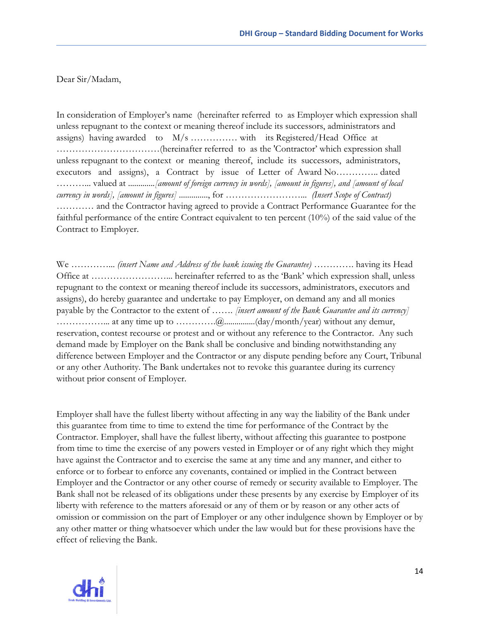Dear Sir/Madam,

In consideration of Employer's name (hereinafter referred to as Employer which expression shall unless repugnant to the context or meaning thereof include its successors, administrators and assigns) having awarded to M/s …………… with its Registered/Head Office at ……………………………(hereinafter referred to as the 'Contractor' which expression shall unless repugnant to the context or meaning thereof, include its successors, administrators, executors and assigns), a Contract by issue of Letter of Award No………….. dated ………... valued at .............*[amount of foreign currency in words], [amount in figures], and [amount of local currency in words], [amount in figures]* .............., for ……………………... *(Insert Scope of Contract)* ………… and the Contractor having agreed to provide a Contract Performance Guarantee for the faithful performance of the entire Contract equivalent to ten percent (10%) of the said value of the Contract to Employer.

We …………... *(insert Name and Address of the bank issuing the Guarantee)* …………. having its Head Office at ……………………... hereinafter referred to as the 'Bank' which expression shall, unless repugnant to the context or meaning thereof include its successors, administrators, executors and assigns), do hereby guarantee and undertake to pay Employer, on demand any and all monies payable by the Contractor to the extent of ……. *[insert amount of the Bank Guarantee and its currency]* ……………... at any time up to ………….@...............(day/month/year) without any demur, reservation, contest recourse or protest and or without any reference to the Contractor. Any such demand made by Employer on the Bank shall be conclusive and binding notwithstanding any difference between Employer and the Contractor or any dispute pending before any Court, Tribunal or any other Authority. The Bank undertakes not to revoke this guarantee during its currency without prior consent of Employer.

Employer shall have the fullest liberty without affecting in any way the liability of the Bank under this guarantee from time to time to extend the time for performance of the Contract by the Contractor. Employer, shall have the fullest liberty, without affecting this guarantee to postpone from time to time the exercise of any powers vested in Employer or of any right which they might have against the Contractor and to exercise the same at any time and any manner, and either to enforce or to forbear to enforce any covenants, contained or implied in the Contract between Employer and the Contractor or any other course of remedy or security available to Employer. The Bank shall not be released of its obligations under these presents by any exercise by Employer of its liberty with reference to the matters aforesaid or any of them or by reason or any other acts of omission or commission on the part of Employer or any other indulgence shown by Employer or by any other matter or thing whatsoever which under the law would but for these provisions have the effect of relieving the Bank.

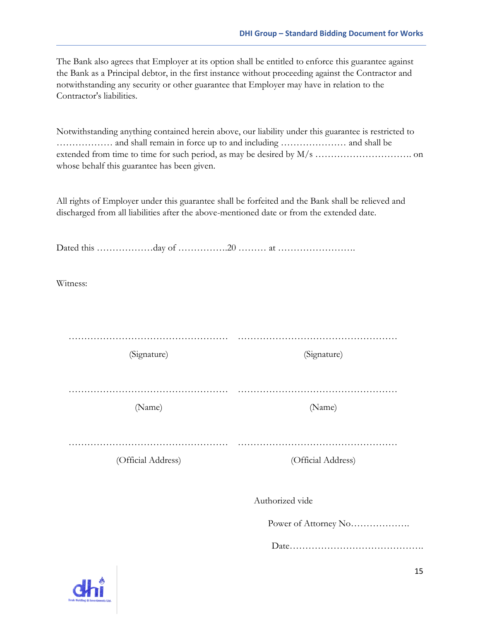The Bank also agrees that Employer at its option shall be entitled to enforce this guarantee against the Bank as a Principal debtor, in the first instance without proceeding against the Contractor and notwithstanding any security or other guarantee that Employer may have in relation to the Contractor's liabilities.

Notwithstanding anything contained herein above, our liability under this guarantee is restricted to ……………… and shall remain in force up to and including ………………… and shall be extended from time to time for such period, as may be desired by M/s …………………………. on whose behalf this guarantee has been given.

All rights of Employer under this guarantee shall be forfeited and the Bank shall be relieved and discharged from all liabilities after the above-mentioned date or from the extended date.

| Witness:           |                      |
|--------------------|----------------------|
|                    |                      |
| (Signature)        | (Signature)          |
| (Name)             | (Name)               |
| (Official Address) | (Official Address)   |
|                    | Authorized vide      |
|                    | Power of Attorney No |
|                    |                      |

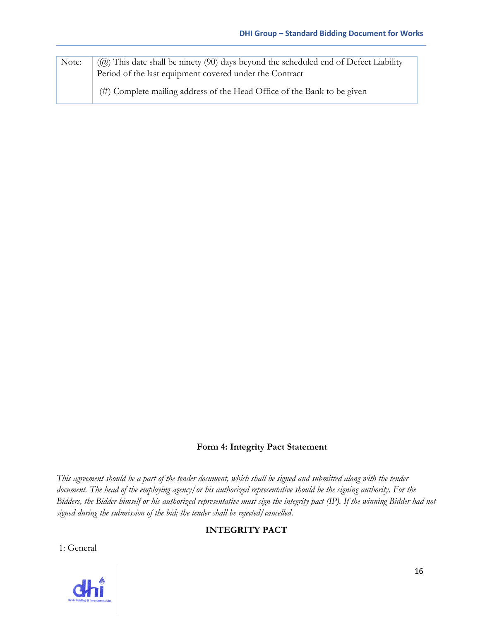| Note: | $(Q)$ ) This date shall be ninety (90) days beyond the scheduled end of Defect Liability<br>Period of the last equipment covered under the Contract |
|-------|-----------------------------------------------------------------------------------------------------------------------------------------------------|
|       | (#) Complete mailing address of the Head Office of the Bank to be given                                                                             |

#### **Form 4: Integrity Pact Statement**

*This agreement should be a part of the tender document, which shall be signed and submitted along with the tender document. The head of the employing agency/or his authorized representative should be the signing authority. For the Bidders, the Bidder himself or his authorized representative must sign the integrity pact (IP). If the winning Bidder had not signed during the submission of the bid; the tender shall be rejected/cancelled*.

#### **INTEGRITY PACT**

1: General

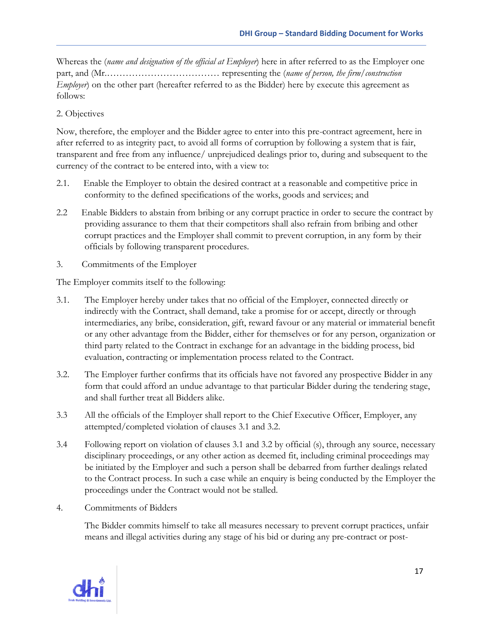Whereas the (*name and designation of the official at Employer*) here in after referred to as the Employer one part, and (Mr.……………………………… representing the (*name of person, the firm/construction Employer*) on the other part (hereafter referred to as the Bidder) here by execute this agreement as follows:

#### 2. Objectives

Now, therefore, the employer and the Bidder agree to enter into this pre-contract agreement, here in after referred to as integrity pact, to avoid all forms of corruption by following a system that is fair, transparent and free from any influence/ unprejudiced dealings prior to, during and subsequent to the currency of the contract to be entered into, with a view to:

- 2.1. Enable the Employer to obtain the desired contract at a reasonable and competitive price in conformity to the defined specifications of the works, goods and services; and
- 2.2 Enable Bidders to abstain from bribing or any corrupt practice in order to secure the contract by providing assurance to them that their competitors shall also refrain from bribing and other corrupt practices and the Employer shall commit to prevent corruption, in any form by their officials by following transparent procedures.
- 3. Commitments of the Employer

The Employer commits itself to the following:

- 3.1. The Employer hereby under takes that no official of the Employer, connected directly or indirectly with the Contract, shall demand, take a promise for or accept, directly or through intermediaries, any bribe, consideration, gift, reward favour or any material or immaterial benefit or any other advantage from the Bidder, either for themselves or for any person, organization or third party related to the Contract in exchange for an advantage in the bidding process, bid evaluation, contracting or implementation process related to the Contract.
- 3.2. The Employer further confirms that its officials have not favored any prospective Bidder in any form that could afford an undue advantage to that particular Bidder during the tendering stage, and shall further treat all Bidders alike.
- 3.3 All the officials of the Employer shall report to the Chief Executive Officer, Employer, any attempted/completed violation of clauses 3.1 and 3.2.
- 3.4 Following report on violation of clauses 3.1 and 3.2 by official (s), through any source, necessary disciplinary proceedings, or any other action as deemed fit, including criminal proceedings may be initiated by the Employer and such a person shall be debarred from further dealings related to the Contract process. In such a case while an enquiry is being conducted by the Employer the proceedings under the Contract would not be stalled.
- 4. Commitments of Bidders

The Bidder commits himself to take all measures necessary to prevent corrupt practices, unfair means and illegal activities during any stage of his bid or during any pre-contract or post-

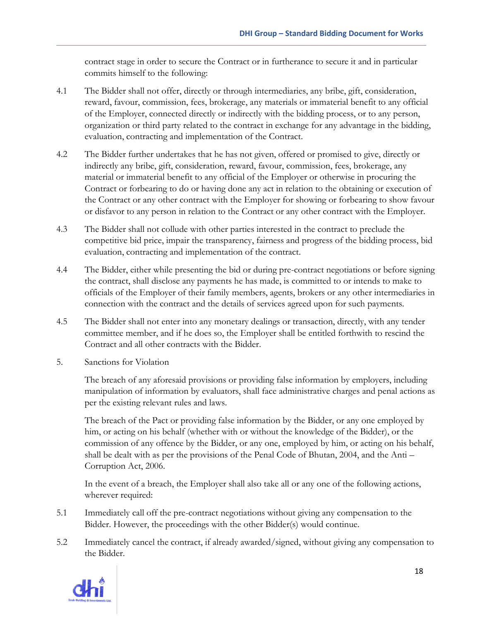contract stage in order to secure the Contract or in furtherance to secure it and in particular commits himself to the following:

- 4.1 The Bidder shall not offer, directly or through intermediaries, any bribe, gift, consideration, reward, favour, commission, fees, brokerage, any materials or immaterial benefit to any official of the Employer, connected directly or indirectly with the bidding process, or to any person, organization or third party related to the contract in exchange for any advantage in the bidding, evaluation, contracting and implementation of the Contract.
- 4.2 The Bidder further undertakes that he has not given, offered or promised to give, directly or indirectly any bribe, gift, consideration, reward, favour, commission, fees, brokerage, any material or immaterial benefit to any official of the Employer or otherwise in procuring the Contract or forbearing to do or having done any act in relation to the obtaining or execution of the Contract or any other contract with the Employer for showing or forbearing to show favour or disfavor to any person in relation to the Contract or any other contract with the Employer.
- 4.3 The Bidder shall not collude with other parties interested in the contract to preclude the competitive bid price, impair the transparency, fairness and progress of the bidding process, bid evaluation, contracting and implementation of the contract.
- 4.4 The Bidder, either while presenting the bid or during pre-contract negotiations or before signing the contract, shall disclose any payments he has made, is committed to or intends to make to officials of the Employer of their family members, agents, brokers or any other intermediaries in connection with the contract and the details of services agreed upon for such payments.
- 4.5 The Bidder shall not enter into any monetary dealings or transaction, directly, with any tender committee member, and if he does so, the Employer shall be entitled forthwith to rescind the Contract and all other contracts with the Bidder.
- 5. Sanctions for Violation

The breach of any aforesaid provisions or providing false information by employers, including manipulation of information by evaluators, shall face administrative charges and penal actions as per the existing relevant rules and laws.

The breach of the Pact or providing false information by the Bidder, or any one employed by him, or acting on his behalf (whether with or without the knowledge of the Bidder), or the commission of any offence by the Bidder, or any one, employed by him, or acting on his behalf, shall be dealt with as per the provisions of the Penal Code of Bhutan, 2004, and the Anti – Corruption Act, 2006.

In the event of a breach, the Employer shall also take all or any one of the following actions, wherever required:

- 5.1 Immediately call off the pre-contract negotiations without giving any compensation to the Bidder. However, the proceedings with the other Bidder(s) would continue.
- 5.2 Immediately cancel the contract, if already awarded/signed, without giving any compensation to the Bidder.

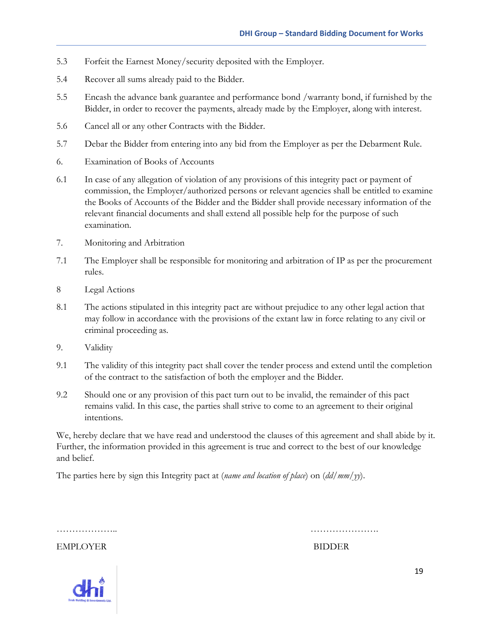- 5.3 Forfeit the Earnest Money/security deposited with the Employer.
- 5.4 Recover all sums already paid to the Bidder.
- 5.5 Encash the advance bank guarantee and performance bond /warranty bond, if furnished by the Bidder, in order to recover the payments, already made by the Employer, along with interest.
- 5.6 Cancel all or any other Contracts with the Bidder.
- 5.7 Debar the Bidder from entering into any bid from the Employer as per the Debarment Rule.
- 6. Examination of Books of Accounts
- 6.1 In case of any allegation of violation of any provisions of this integrity pact or payment of commission, the Employer/authorized persons or relevant agencies shall be entitled to examine the Books of Accounts of the Bidder and the Bidder shall provide necessary information of the relevant financial documents and shall extend all possible help for the purpose of such examination.
- 7. Monitoring and Arbitration
- 7.1 The Employer shall be responsible for monitoring and arbitration of IP as per the procurement rules.
- 8 Legal Actions
- 8.1 The actions stipulated in this integrity pact are without prejudice to any other legal action that may follow in accordance with the provisions of the extant law in force relating to any civil or criminal proceeding as.
- 9. Validity
- 9.1 The validity of this integrity pact shall cover the tender process and extend until the completion of the contract to the satisfaction of both the employer and the Bidder.
- 9.2 Should one or any provision of this pact turn out to be invalid, the remainder of this pact remains valid. In this case, the parties shall strive to come to an agreement to their original intentions.

We, hereby declare that we have read and understood the clauses of this agreement and shall abide by it. Further, the information provided in this agreement is true and correct to the best of our knowledge and belief.

The parties here by sign this Integrity pact at (*name and location of place*) on (*dd/mm/yy*).

……………….. ………………….

EMPLOYER BIDDER

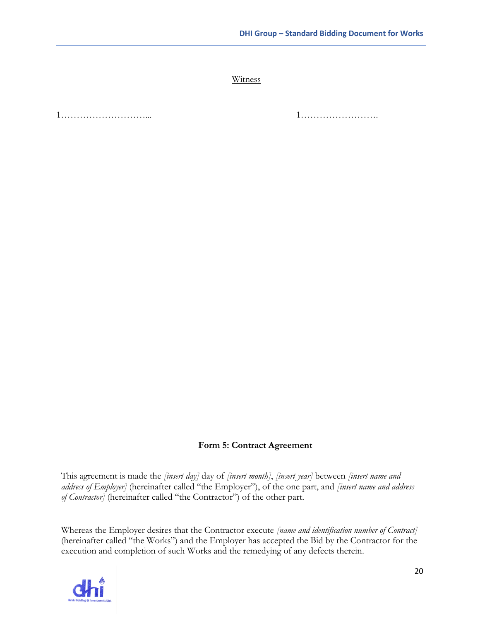**Witness** 

1………………………... 1…………………….

#### **Form 5: Contract Agreement**

This agreement is made the *[insert day]* day of *[insert month]*, *[insert year]* between *[insert name and address of Employer]* (hereinafter called "the Employer"), of the one part, and *[insert name and address of Contractor]* (hereinafter called "the Contractor") of the other part.

Whereas the Employer desires that the Contractor execute *[name and identification number of Contract]*  (hereinafter called "the Works") and the Employer has accepted the Bid by the Contractor for the execution and completion of such Works and the remedying of any defects therein.

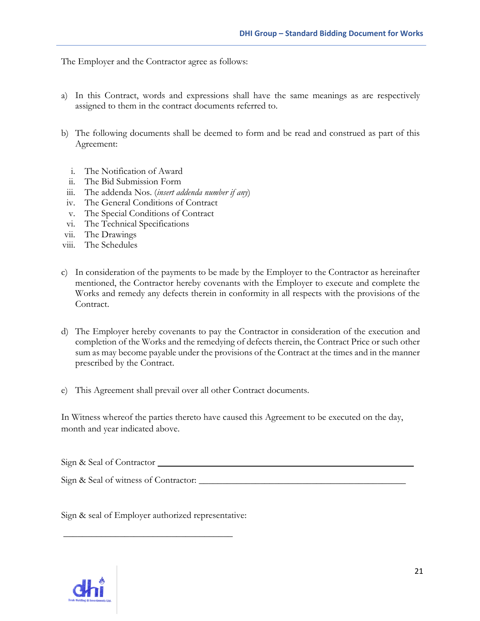The Employer and the Contractor agree as follows:

- a) In this Contract, words and expressions shall have the same meanings as are respectively assigned to them in the contract documents referred to.
- b) The following documents shall be deemed to form and be read and construed as part of this Agreement:
	- i. The Notification of Award
	- ii. The Bid Submission Form
	- iii. The addenda Nos. (*insert addenda number if any*)
	- iv. The General Conditions of Contract
	- v. The Special Conditions of Contract
	- vi. The Technical Specifications
- vii. The Drawings
- viii. The Schedules
- c) In consideration of the payments to be made by the Employer to the Contractor as hereinafter mentioned, the Contractor hereby covenants with the Employer to execute and complete the Works and remedy any defects therein in conformity in all respects with the provisions of the Contract.
- d) The Employer hereby covenants to pay the Contractor in consideration of the execution and completion of the Works and the remedying of defects therein, the Contract Price or such other sum as may become payable under the provisions of the Contract at the times and in the manner prescribed by the Contract.
- e) This Agreement shall prevail over all other Contract documents.

In Witness whereof the parties thereto have caused this Agreement to be executed on the day, month and year indicated above.

Sign & Seal of Contractor

Sign & Seal of witness of Contractor: \_\_\_\_\_\_\_\_\_\_\_\_\_\_\_\_\_\_\_\_\_\_\_\_\_\_\_\_\_\_\_\_\_\_\_\_\_\_\_\_\_\_\_\_

Sign & seal of Employer authorized representative:

\_\_\_\_\_\_\_\_\_\_\_\_\_\_\_\_\_\_\_\_\_\_\_\_\_\_\_\_\_\_\_\_\_\_\_\_

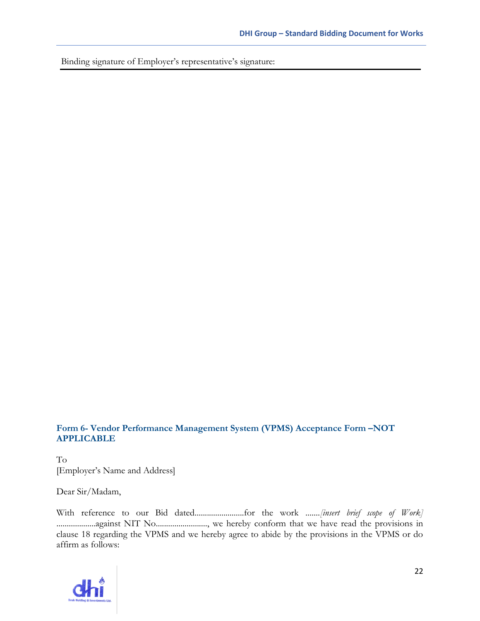Binding signature of Employer's representative's signature:

#### **Form 6- Vendor Performance Management System (VPMS) Acceptance Form –NOT APPLICABLE**

To [Employer's Name and Address]

Dear Sir/Madam,

With reference to our Bid dated........................for the work .......*[insert brief scope of Work]* ...................against NIT No........................., we hereby conform that we have read the provisions in clause 18 regarding the VPMS and we hereby agree to abide by the provisions in the VPMS or do affirm as follows: